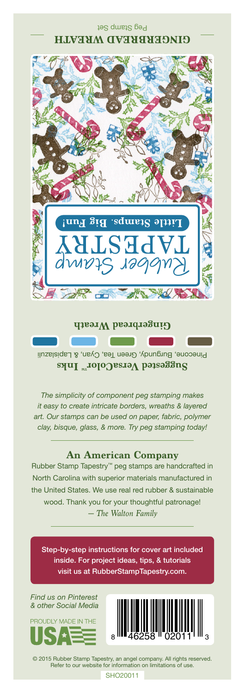## Peg Stamp Set **GINGERBREAD WREATH**



#### **Gingerbread Wreath**

Pinecone, Burgundy, Green Tea, Cyan, & Lapislazuli **Suggested VersaColor** Inks

*The simplicity of component peg stamping makes it easy to create intricate borders, wreaths & layered art. Our stamps can be used on paper, fabric, polymer clay, bisque, glass, & more. Try peg stamping today!*

### **An American Company**

*— The Walton Family* Rubber Stamp Tapestry™ peg stamps are handcrafted in North Carolina with superior materials manufactured in the United States. We use real red rubber & sustainable wood. Thank you for your thoughtful patronage!

Step-by-step instructions for cover art included inside. For project ideas, tips, & tutorials visit us at RubberStampTapestry.com.

*Find us on Pinterest & other Social Media*





© 2015 Rubber Stamp Tapestry, an angel company. All rights reserved. Refer to our website for information on limitations of use.